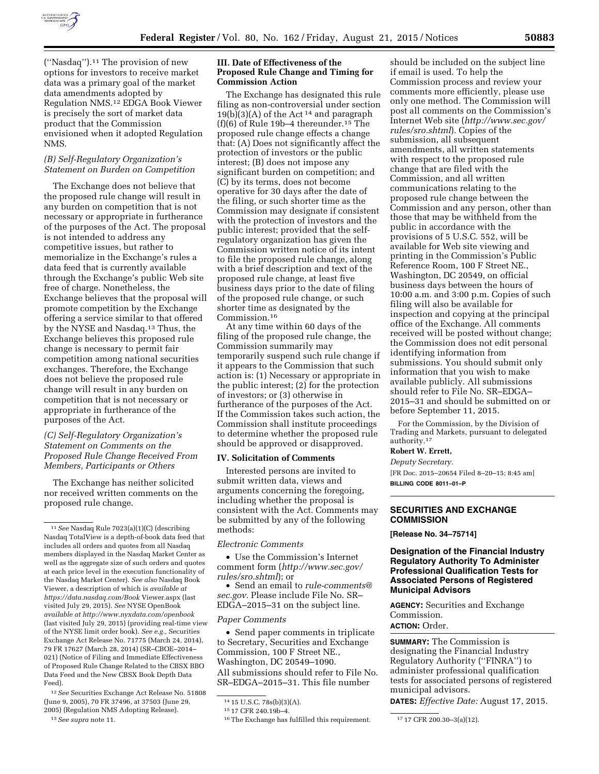

(''Nasdaq'').11 The provision of new options for investors to receive market data was a primary goal of the market data amendments adopted by Regulation NMS.12 EDGA Book Viewer is precisely the sort of market data product that the Commission envisioned when it adopted Regulation NMS.

# *(B) Self-Regulatory Organization's Statement on Burden on Competition*

The Exchange does not believe that the proposed rule change will result in any burden on competition that is not necessary or appropriate in furtherance of the purposes of the Act. The proposal is not intended to address any competitive issues, but rather to memorialize in the Exchange's rules a data feed that is currently available through the Exchange's public Web site free of charge. Nonetheless, the Exchange believes that the proposal will promote competition by the Exchange offering a service similar to that offered by the NYSE and Nasdaq.13 Thus, the Exchange believes this proposed rule change is necessary to permit fair competition among national securities exchanges. Therefore, the Exchange does not believe the proposed rule change will result in any burden on competition that is not necessary or appropriate in furtherance of the purposes of the Act.

# *(C) Self-Regulatory Organization's Statement on Comments on the Proposed Rule Change Received From Members, Participants or Others*

The Exchange has neither solicited nor received written comments on the proposed rule change.

12*See* Securities Exchange Act Release No. 51808 (June 9, 2005), 70 FR 37496, at 37503 (June 29, 2005) (Regulation NMS Adopting Release).

## **III. Date of Effectiveness of the Proposed Rule Change and Timing for Commission Action**

The Exchange has designated this rule filing as non-controversial under section  $19(b)(3)(A)$  of the Act<sup>14</sup> and paragraph  $(f)(6)$  of Rule 19b–4 thereunder.<sup>15</sup> The proposed rule change effects a change that: (A) Does not significantly affect the protection of investors or the public interest; (B) does not impose any significant burden on competition; and (C) by its terms, does not become operative for 30 days after the date of the filing, or such shorter time as the Commission may designate if consistent with the protection of investors and the public interest; provided that the selfregulatory organization has given the Commission written notice of its intent to file the proposed rule change, along with a brief description and text of the proposed rule change, at least five business days prior to the date of filing of the proposed rule change, or such shorter time as designated by the Commission.16

At any time within 60 days of the filing of the proposed rule change, the Commission summarily may temporarily suspend such rule change if it appears to the Commission that such action is: (1) Necessary or appropriate in the public interest; (2) for the protection of investors; or (3) otherwise in furtherance of the purposes of the Act. If the Commission takes such action, the Commission shall institute proceedings to determine whether the proposed rule should be approved or disapproved.

#### **IV. Solicitation of Comments**

Interested persons are invited to submit written data, views and arguments concerning the foregoing, including whether the proposal is consistent with the Act. Comments may be submitted by any of the following methods:

#### *Electronic Comments*

• Use the Commission's Internet comment form (*[http://www.sec.gov/](http://www.sec.gov/rules/sro.shtml) [rules/sro.shtml](http://www.sec.gov/rules/sro.shtml)*); or

• Send an email to *[rule-comments@](mailto:rule-comments@sec.gov) [sec.gov.](mailto:rule-comments@sec.gov)* Please include File No. SR– EDGA–2015–31 on the subject line.

#### *Paper Comments*

• Send paper comments in triplicate to Secretary, Securities and Exchange Commission, 100 F Street NE., Washington, DC 20549–1090. All submissions should refer to File No. SR–EDGA–2015–31. This file number

should be included on the subject line if email is used. To help the Commission process and review your comments more efficiently, please use only one method. The Commission will post all comments on the Commission's Internet Web site (*[http://www.sec.gov/](http://www.sec.gov/rules/sro.shtml) [rules/sro.shtml](http://www.sec.gov/rules/sro.shtml)*). Copies of the submission, all subsequent amendments, all written statements with respect to the proposed rule change that are filed with the Commission, and all written communications relating to the proposed rule change between the Commission and any person, other than those that may be withheld from the public in accordance with the provisions of 5 U.S.C. 552, will be available for Web site viewing and printing in the Commission's Public Reference Room, 100 F Street NE., Washington, DC 20549, on official business days between the hours of 10:00 a.m. and 3:00 p.m. Copies of such filing will also be available for inspection and copying at the principal office of the Exchange. All comments received will be posted without change; the Commission does not edit personal identifying information from submissions. You should submit only information that you wish to make available publicly. All submissions should refer to File No. SR–EDGA– 2015–31 and should be submitted on or before September 11, 2015.

For the Commission, by the Division of Trading and Markets, pursuant to delegated authority.17

# **Robert W. Errett,**

*Deputy Secretary.* 

[FR Doc. 2015–20654 Filed 8–20–15; 8:45 am] **BILLING CODE 8011–01–P** 

## **SECURITIES AND EXCHANGE COMMISSION**

**[Release No. 34–75714]** 

## **Designation of the Financial Industry Regulatory Authority To Administer Professional Qualification Tests for Associated Persons of Registered Municipal Advisors**

**AGENCY:** Securities and Exchange Commission. **ACTION:** Order.

**SUMMARY:** The Commission is designating the Financial Industry Regulatory Authority (''FINRA'') to administer professional qualification tests for associated persons of registered municipal advisors.

**DATES:** *Effective Date:* August 17, 2015.

<sup>11</sup>*See* Nasdaq Rule 7023(a)(1)(C) (describing Nasdaq TotalView is a depth-of-book data feed that includes all orders and quotes from all Nasdaq members displayed in the Nasdaq Market Center as well as the aggregate size of such orders and quotes at each price level in the execution functionality of the Nasdaq Market Center). *See also* Nasdaq Book Viewer, a description of which is *available at <https://data.nasdaq.com/Book>*Viewer.aspx (last visited July 29, 2015). *See* NYSE OpenBook *available at<http://www.nyxdata.com/openbook>* (last visited July 29, 2015) (providing real-time view of the NYSE limit order book). *See e.g.,* Securities Exchange Act Release No. 71775 (March 24, 2014), 79 FR 17627 (March 28, 2014) (SR–CBOE–2014– 021) (Notice of Filing and Immediate Effectiveness of Proposed Rule Change Related to the CBSX BBO Data Feed and the New CBSX Book Depth Data Feed).

<sup>13</sup>*See supra* note 11.

<sup>14</sup> 15 U.S.C. 78s(b)(3)(A).

<sup>15</sup> 17 CFR 240.19b–4.

<sup>&</sup>lt;sup>16</sup> The Exchange has fulfilled this requirement. <sup>17</sup> 17 CFR 200.30-3(a)(12).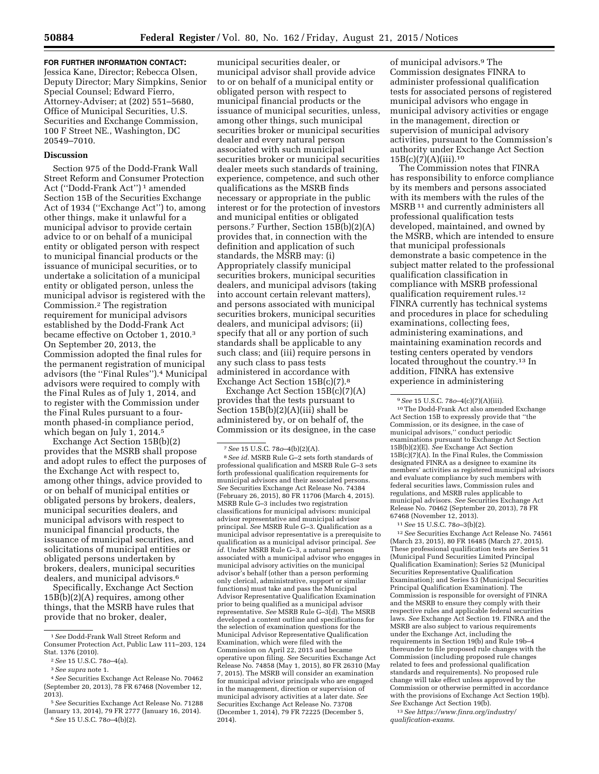**FOR FURTHER INFORMATION CONTACT:**  Jessica Kane, Director; Rebecca Olsen, Deputy Director; Mary Simpkins, Senior Special Counsel; Edward Fierro, Attorney-Adviser; at (202) 551–5680, Office of Municipal Securities, U.S. Securities and Exchange Commission, 100 F Street NE., Washington, DC 20549–7010.

#### **Discussion**

Section 975 of the Dodd-Frank Wall Street Reform and Consumer Protection Act (''Dodd-Frank Act'') 1 amended Section 15B of the Securities Exchange Act of 1934 (''Exchange Act'') to, among other things, make it unlawful for a municipal advisor to provide certain advice to or on behalf of a municipal entity or obligated person with respect to municipal financial products or the issuance of municipal securities, or to undertake a solicitation of a municipal entity or obligated person, unless the municipal advisor is registered with the Commission.2 The registration requirement for municipal advisors established by the Dodd-Frank Act became effective on October 1, 2010.3 On September 20, 2013, the Commission adopted the final rules for the permanent registration of municipal advisors (the ''Final Rules'').4 Municipal advisors were required to comply with the Final Rules as of July 1, 2014, and to register with the Commission under the Final Rules pursuant to a fourmonth phased-in compliance period, which began on July 1, 2014.5

Exchange Act Section 15B(b)(2) provides that the MSRB shall propose and adopt rules to effect the purposes of the Exchange Act with respect to, among other things, advice provided to or on behalf of municipal entities or obligated persons by brokers, dealers, municipal securities dealers, and municipal advisors with respect to municipal financial products, the issuance of municipal securities, and solicitations of municipal entities or obligated persons undertaken by brokers, dealers, municipal securities dealers, and municipal advisors.<sup>6</sup>

Specifically, Exchange Act Section 15B(b)(2)(A) requires, among other things, that the MSRB have rules that provide that no broker, dealer,

municipal securities dealer, or municipal advisor shall provide advice to or on behalf of a municipal entity or obligated person with respect to municipal financial products or the issuance of municipal securities, unless, among other things, such municipal securities broker or municipal securities dealer and every natural person associated with such municipal securities broker or municipal securities dealer meets such standards of training, experience, competence, and such other qualifications as the MSRB finds necessary or appropriate in the public interest or for the protection of investors and municipal entities or obligated persons.7 Further, Section 15B(b)(2)(A) provides that, in connection with the definition and application of such standards, the MSRB may: (i) Appropriately classify municipal securities brokers, municipal securities dealers, and municipal advisors (taking into account certain relevant matters), and persons associated with municipal securities brokers, municipal securities dealers, and municipal advisors; (ii) specify that all or any portion of such standards shall be applicable to any such class; and (iii) require persons in any such class to pass tests administered in accordance with Exchange Act Section 15B(c)(7).8

Exchange Act Section 15B(c)(7)(A) provides that the tests pursuant to Section 15B(b)(2)(A)(iii) shall be administered by, or on behalf of, the Commission or its designee, in the case

of municipal advisors.9 The Commission designates FINRA to administer professional qualification tests for associated persons of registered municipal advisors who engage in municipal advisory activities or engage in the management, direction or supervision of municipal advisory activities, pursuant to the Commission's authority under Exchange Act Section  $15B(c)(7)(A)(iii).<sup>10</sup>$ 

The Commission notes that FINRA has responsibility to enforce compliance by its members and persons associated with its members with the rules of the MSRB<sup>11</sup> and currently administers all professional qualification tests developed, maintained, and owned by the MSRB, which are intended to ensure that municipal professionals demonstrate a basic competence in the subject matter related to the professional qualification classification in compliance with MSRB professional qualification requirement rules.12 FINRA currently has technical systems and procedures in place for scheduling examinations, collecting fees, administering examinations, and maintaining examination records and testing centers operated by vendors located throughout the country.<sup>13</sup> In addition, FINRA has extensive experience in administering

11*See* 15 U.S.C. 78*o*–3(b)(2).

12*See* Securities Exchange Act Release No. 74561 (March 23, 2015), 80 FR 16485 (March 27, 2015). These professional qualification tests are Series 51 (Municipal Fund Securities Limited Principal Qualification Examination); Series 52 (Municipal Securities Representative Qualification Examination); and Series 53 (Municipal Securities Principal Qualification Examination). The Commission is responsible for oversight of FINRA and the MSRB to ensure they comply with their respective rules and applicable federal securities laws. *See* Exchange Act Section 19. FINRA and the MSRB are also subject to various requirements under the Exchange Act, including the requirements in Section 19(b) and Rule 19b–4 thereunder to file proposed rule changes with the Commission (including proposed rule changes related to fees and professional qualification standards and requirements). No proposed rule change will take effect unless approved by the Commission or otherwise permitted in accordance with the provisions of Exchange Act Section 19(b). *See* Exchange Act Section 19(b).

13*See [https://www.finra.org/industry/](https://www.finra.org/industry/qualification-exams) [qualification-exams.](https://www.finra.org/industry/qualification-exams)* 

<sup>1</sup>*See* Dodd-Frank Wall Street Reform and Consumer Protection Act, Public Law 111–203, 124 Stat. 1376 (2010).

<sup>2</sup>*See* 15 U.S.C. 78*o*–4(a).

<sup>3</sup>*See supra* note 1.

<sup>4</sup>*See* Securities Exchange Act Release No. 70462 (September 20, 2013), 78 FR 67468 (November 12, 2013).

<sup>5</sup>*See* Securities Exchange Act Release No. 71288 (January 13, 2014), 79 FR 2777 (January 16, 2014). 6*See* 15 U.S.C. 78*o*–4(b)(2).

<sup>7</sup>*See* 15 U.S.C. 78*o*–4(b)(2)(A). 8*See id.* MSRB Rule G–2 sets forth standards of professional qualification and MSRB Rule G–3 sets forth professional qualification requirements for municipal advisors and their associated persons. *See* Securities Exchange Act Release No. 74384 (February 26, 2015), 80 FR 11706 (March 4, 2015). MSRB Rule G–3 includes two registration classifications for municipal advisors: municipal advisor representative and municipal advisor principal. *See* MSRB Rule G–3. Qualification as a municipal advisor representative is a prerequisite to qualification as a municipal advisor principal. *See id.* Under MSRB Rule G–3, a natural person associated with a municipal advisor who engages in municipal advisory activities on the municipal advisor's behalf (other than a person performing only clerical, administrative, support or similar functions) must take and pass the Municipal Advisor Representative Qualification Examination prior to being qualified as a municipal advisor representative. *See* MSRB Rule G–3(d). The MSRB developed a content outline and specifications for the selection of examination questions for the Municipal Advisor Representative Qualification Examination, which were filed with the Commission on April 22, 2015 and became operative upon filing. *See* Securities Exchange Act Release No. 74858 (May 1, 2015), 80 FR 26310 (May 7, 2015). The MSRB will consider an examination for municipal advisor principals who are engaged in the management, direction or supervision of municipal advisory activities at a later date. *See*  Securities Exchange Act Release No. 73708 (December 1, 2014), 79 FR 72225 (December 5,  $2014$ ).

<sup>9</sup>*See* 15 U.S.C. 78*o*–4(c)(7)(A)(iii). 10The Dodd-Frank Act also amended Exchange Act Section 15B to expressly provide that ''the Commission, or its designee, in the case of municipal advisors,'' conduct periodic examinations pursuant to Exchange Act Section 15B(b)(2)(E). *See* Exchange Act Section  $15B(c)(7)(A)$ . In the Final Rules, the Commission designated FINRA as a designee to examine its members' activities as registered municipal advisors and evaluate compliance by such members with federal securities laws, Commission rules and regulations, and MSRB rules applicable to municipal advisors. *See* Securities Exchange Act Release No. 70462 (September 20, 2013), 78 FR 67468 (November 12, 2013).